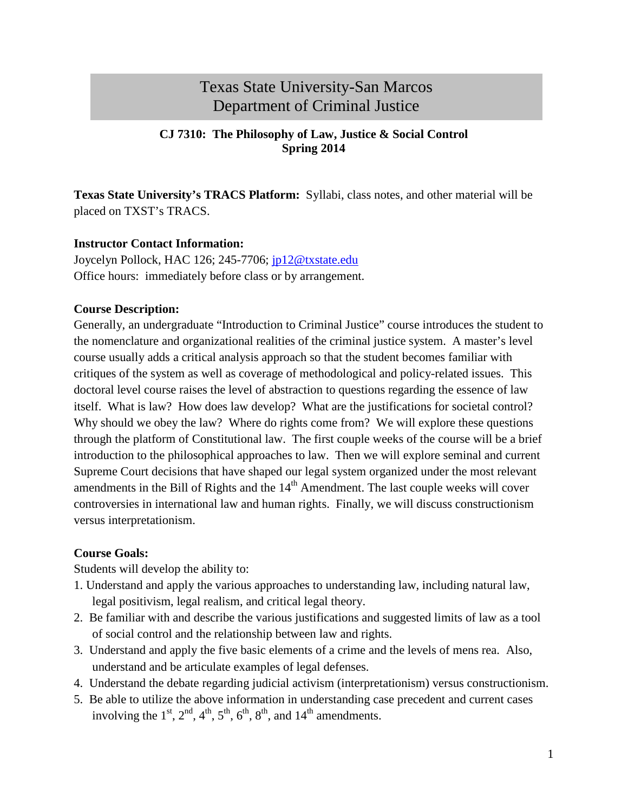# Texas State University-San Marcos Department of Criminal Justice

#### **CJ 7310: The Philosophy of Law, Justice & Social Control Spring 2014**

**Texas State University's TRACS Platform:** Syllabi, class notes, and other material will be placed on TXST's TRACS.

#### **Instructor Contact Information:**

Joycelyn Pollock, HAC 126; 245-7706; [jp12@txstate.edu](mailto:jp12@txstate.edu) Office hours: immediately before class or by arrangement.

#### **Course Description:**

Generally, an undergraduate "Introduction to Criminal Justice" course introduces the student to the nomenclature and organizational realities of the criminal justice system. A master's level course usually adds a critical analysis approach so that the student becomes familiar with critiques of the system as well as coverage of methodological and policy-related issues. This doctoral level course raises the level of abstraction to questions regarding the essence of law itself. What is law? How does law develop? What are the justifications for societal control? Why should we obey the law? Where do rights come from? We will explore these questions through the platform of Constitutional law. The first couple weeks of the course will be a brief introduction to the philosophical approaches to law. Then we will explore seminal and current Supreme Court decisions that have shaped our legal system organized under the most relevant amendments in the Bill of Rights and the  $14<sup>th</sup>$  Amendment. The last couple weeks will cover controversies in international law and human rights. Finally, we will discuss constructionism versus interpretationism.

#### **Course Goals:**

Students will develop the ability to:

- 1. Understand and apply the various approaches to understanding law, including natural law, legal positivism, legal realism, and critical legal theory.
- 2. Be familiar with and describe the various justifications and suggested limits of law as a tool of social control and the relationship between law and rights.
- 3. Understand and apply the five basic elements of a crime and the levels of mens rea. Also, understand and be articulate examples of legal defenses.
- 4. Understand the debate regarding judicial activism (interpretationism) versus constructionism.
- 5. Be able to utilize the above information in understanding case precedent and current cases involving the  $1<sup>st</sup>$ ,  $2<sup>nd</sup>$ ,  $4<sup>th</sup>$ ,  $5<sup>th</sup>$ ,  $6<sup>th</sup>$ ,  $8<sup>th</sup>$ , and  $14<sup>th</sup>$  amendments.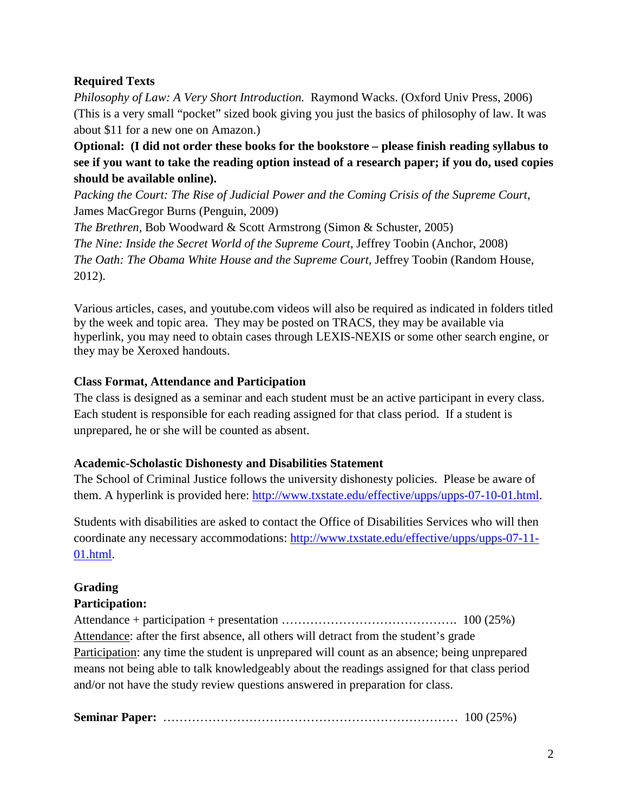### **Required Texts**

*Philosophy of Law: A Very Short Introduction.* Raymond Wacks. (Oxford Univ Press, 2006) (This is a very small "pocket" sized book giving you just the basics of philosophy of law. It was about \$11 for a new one on Amazon.)

**Optional: (I did not order these books for the bookstore – please finish reading syllabus to see if you want to take the reading option instead of a research paper; if you do, used copies should be available online).**

*Packing the Court: The Rise of Judicial Power and the Coming Crisis of the Supreme Court*, James MacGregor Burns (Penguin, 2009)

*The Brethren*, Bob Woodward & Scott Armstrong (Simon & Schuster, 2005) *The Nine: Inside the Secret World of the Supreme Court*, Jeffrey Toobin (Anchor, 2008) *The Oath: The Obama White House and the Supreme Court*, Jeffrey Toobin (Random House, 2012).

Various articles, cases, and youtube.com videos will also be required as indicated in folders titled by the week and topic area. They may be posted on TRACS, they may be available via hyperlink, you may need to obtain cases through LEXIS-NEXIS or some other search engine, or they may be Xeroxed handouts.

#### **Class Format, Attendance and Participation**

The class is designed as a seminar and each student must be an active participant in every class. Each student is responsible for each reading assigned for that class period. If a student is unprepared, he or she will be counted as absent.

#### **Academic-Scholastic Dishonesty and Disabilities Statement**

The School of Criminal Justice follows the university dishonesty policies. Please be aware of them. A hyperlink is provided here: [http://www.txstate.edu/effective/upps/upps-07-10-01.html.](http://www.txstate.edu/effective/upps/upps-07-10-01.html)

Students with disabilities are asked to contact the Office of Disabilities Services who will then coordinate any necessary accommodations: [http://www.txstate.edu/effective/upps/upps-07-11-](http://www.txstate.edu/effective/upps/upps-07-11-01.html) [01.html.](http://www.txstate.edu/effective/upps/upps-07-11-01.html)

# **Grading**

# **Participation:**

Attendance + participation + presentation ……………………………………. 100 (25%) Attendance: after the first absence, all others will detract from the student's grade Participation: any time the student is unprepared will count as an absence; being unprepared means not being able to talk knowledgeably about the readings assigned for that class period and/or not have the study review questions answered in preparation for class.

**Seminar Paper:** ……………………………………………………………… 100 (25%)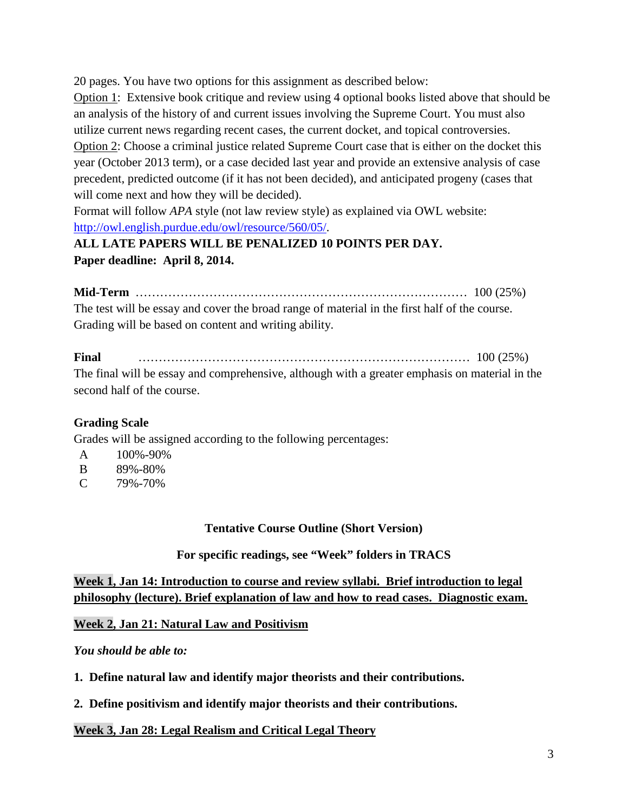20 pages. You have two options for this assignment as described below:

Option 1: Extensive book critique and review using 4 optional books listed above that should be an analysis of the history of and current issues involving the Supreme Court. You must also utilize current news regarding recent cases, the current docket, and topical controversies.

Option 2: Choose a criminal justice related Supreme Court case that is either on the docket this year (October 2013 term), or a case decided last year and provide an extensive analysis of case precedent, predicted outcome (if it has not been decided), and anticipated progeny (cases that will come next and how they will be decided).

Format will follow *APA* style (not law review style) as explained via OWL website: [http://owl.english.purdue.edu/owl/resource/560/05/.](http://owl.english.purdue.edu/owl/resource/560/05/)

# **ALL LATE PAPERS WILL BE PENALIZED 10 POINTS PER DAY. Paper deadline: April 8, 2014.**

**Mid-Term** ……………………………………………………………………… 100 (25%) The test will be essay and cover the broad range of material in the first half of the course. Grading will be based on content and writing ability.

#### **Final** ……………………………………………………………………… 100 (25%) The final will be essay and comprehensive, although with a greater emphasis on material in the second half of the course.

# **Grading Scale**

Grades will be assigned according to the following percentages:

- A 100%-90%
- B 89%-80%
- $C = 79\% 70\%$

# **Tentative Course Outline (Short Version)**

# **For specific readings, see "Week" folders in TRACS**

**Week 1, Jan 14: Introduction to course and review syllabi. Brief introduction to legal philosophy (lecture). Brief explanation of law and how to read cases. Diagnostic exam.** 

# **Week 2, Jan 21: Natural Law and Positivism**

*You should be able to:*

- **1. Define natural law and identify major theorists and their contributions.**
- **2. Define positivism and identify major theorists and their contributions.**

# **Week 3, Jan 28: Legal Realism and Critical Legal Theory**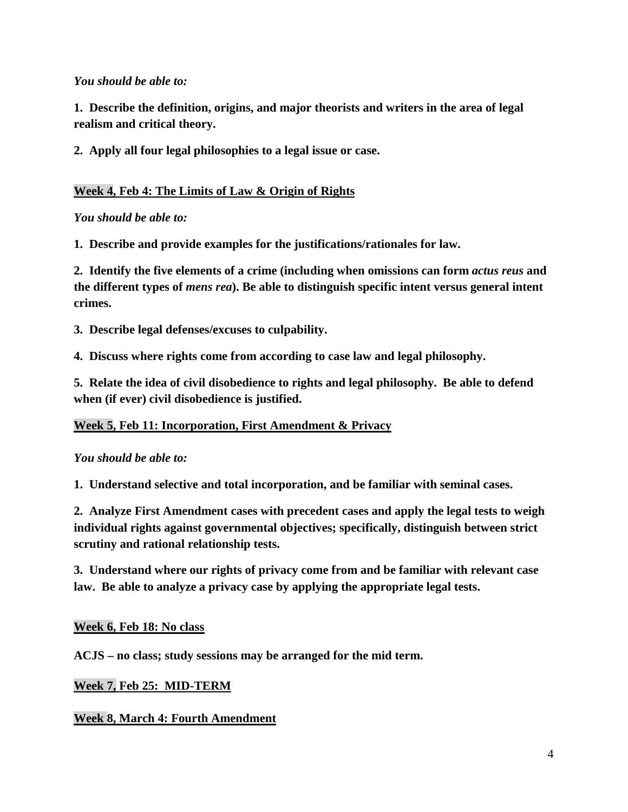#### *You should be able to:*

**1. Describe the definition, origins, and major theorists and writers in the area of legal realism and critical theory.**

**2. Apply all four legal philosophies to a legal issue or case.**

### **Week 4, Feb 4: The Limits of Law & Origin of Rights**

#### *You should be able to:*

**1. Describe and provide examples for the justifications/rationales for law.**

**2. Identify the five elements of a crime (including when omissions can form** *actus reus* **and the different types of** *mens rea***). Be able to distinguish specific intent versus general intent crimes.**

**3. Describe legal defenses/excuses to culpability.**

**4. Discuss where rights come from according to case law and legal philosophy.**

**5. Relate the idea of civil disobedience to rights and legal philosophy. Be able to defend when (if ever) civil disobedience is justified.** 

#### **Week 5, Feb 11: Incorporation, First Amendment & Privacy**

#### *You should be able to:*

**1. Understand selective and total incorporation, and be familiar with seminal cases.**

**2. Analyze First Amendment cases with precedent cases and apply the legal tests to weigh individual rights against governmental objectives; specifically, distinguish between strict scrutiny and rational relationship tests.**

**3. Understand where our rights of privacy come from and be familiar with relevant case law. Be able to analyze a privacy case by applying the appropriate legal tests.**

#### **Week 6, Feb 18: No class**

**ACJS – no class; study sessions may be arranged for the mid term.**

#### **Week 7, Feb 25: MID-TERM**

# **Week 8, March 4: Fourth Amendment**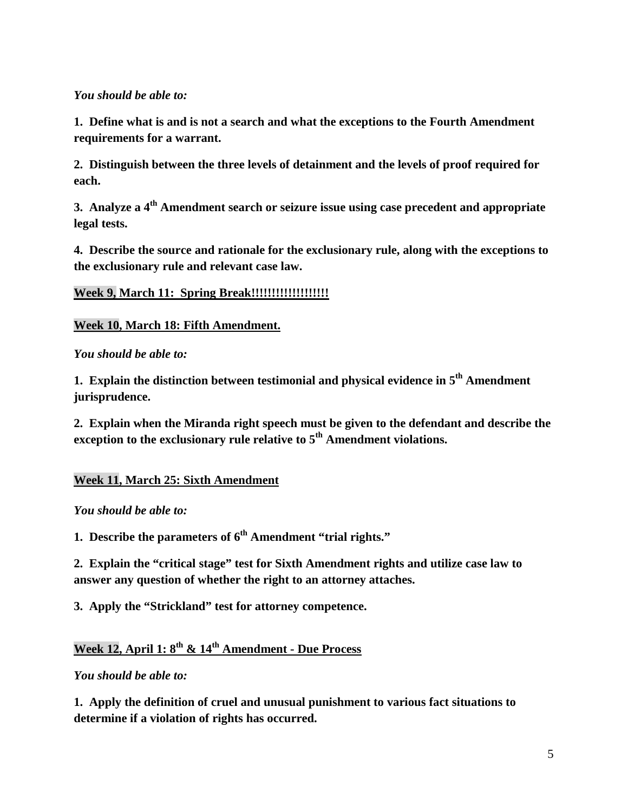#### *You should be able to:*

**1. Define what is and is not a search and what the exceptions to the Fourth Amendment requirements for a warrant.**

**2. Distinguish between the three levels of detainment and the levels of proof required for each.**

**3. Analyze a 4th Amendment search or seizure issue using case precedent and appropriate legal tests.**

**4. Describe the source and rationale for the exclusionary rule, along with the exceptions to the exclusionary rule and relevant case law.**

**Week 9, March 11: Spring Break!!!!!!!!!!!!!!!!!!!**

**Week 10, March 18: Fifth Amendment.**

*You should be able to:*

**1. Explain the distinction between testimonial and physical evidence in 5th Amendment jurisprudence.**

**2. Explain when the Miranda right speech must be given to the defendant and describe the exception to the exclusionary rule relative to 5<sup>th</sup> Amendment violations.** 

# **Week 11, March 25: Sixth Amendment**

*You should be able to:*

**1. Describe the parameters of**  $6<sup>th</sup>$  **Amendment "trial rights."** 

**2. Explain the "critical stage" test for Sixth Amendment rights and utilize case law to answer any question of whether the right to an attorney attaches.**

**3. Apply the "Strickland" test for attorney competence.**

# **Week 12, April 1: 8th & 14th Amendment - Due Process**

*You should be able to:*

**1. Apply the definition of cruel and unusual punishment to various fact situations to determine if a violation of rights has occurred.**